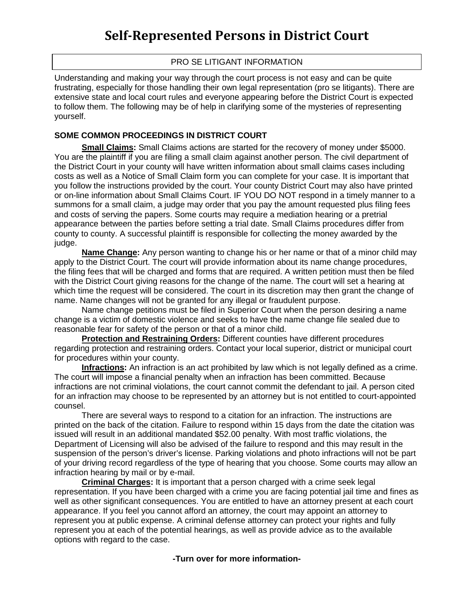# PRO SE LITIGANT INFORMATION

Understanding and making your way through the court process is not easy and can be quite frustrating, especially for those handling their own legal representation (pro se litigants). There are extensive state and local court rules and everyone appearing before the District Court is expected to follow them. The following may be of help in clarifying some of the mysteries of representing yourself.

### **SOME COMMON PROCEEDINGS IN DISTRICT COURT**

**Small Claims:** Small Claims actions are started for the recovery of money under \$5000. You are the plaintiff if you are filing a small claim against another person. The civil department of the District Court in your county will have written information about small claims cases including costs as well as a Notice of Small Claim form you can complete for your case. It is important that you follow the instructions provided by the court. Your county District Court may also have printed or on-line information about Small Claims Court. IF YOU DO NOT respond in a timely manner to a summons for a small claim, a judge may order that you pay the amount requested plus filing fees and costs of serving the papers. Some courts may require a mediation hearing or a pretrial appearance between the parties before setting a trial date. Small Claims procedures differ from county to county. A successful plaintiff is responsible for collecting the money awarded by the judge.

**Name Change:** Any person wanting to change his or her name or that of a minor child may apply to the District Court. The court will provide information about its name change procedures, the filing fees that will be charged and forms that are required. A written petition must then be filed with the District Court giving reasons for the change of the name. The court will set a hearing at which time the request will be considered. The court in its discretion may then grant the change of name. Name changes will not be granted for any illegal or fraudulent purpose.

Name change petitions must be filed in Superior Court when the person desiring a name change is a victim of domestic violence and seeks to have the name change file sealed due to reasonable fear for safety of the person or that of a minor child.

**Protection and Restraining Orders:** Different counties have different procedures regarding protection and restraining orders. Contact your local superior, district or municipal court for procedures within your county.

**Infractions:** An infraction is an act prohibited by law which is not legally defined as a crime. The court will impose a financial penalty when an infraction has been committed. Because infractions are not criminal violations, the court cannot commit the defendant to jail. A person cited for an infraction may choose to be represented by an attorney but is not entitled to court-appointed counsel.

There are several ways to respond to a citation for an infraction. The instructions are printed on the back of the citation. Failure to respond within 15 days from the date the citation was issued will result in an additional mandated \$52.00 penalty. With most traffic violations, the Department of Licensing will also be advised of the failure to respond and this may result in the suspension of the person's driver's license. Parking violations and photo infractions will not be part of your driving record regardless of the type of hearing that you choose. Some courts may allow an infraction hearing by mail or by e-mail.

**Criminal Charges:** It is important that a person charged with a crime seek legal representation. If you have been charged with a crime you are facing potential jail time and fines as well as other significant consequences. You are entitled to have an attorney present at each court appearance. If you feel you cannot afford an attorney, the court may appoint an attorney to represent you at public expense. A criminal defense attorney can protect your rights and fully represent you at each of the potential hearings, as well as provide advice as to the available options with regard to the case.

#### **-Turn over for more information-**